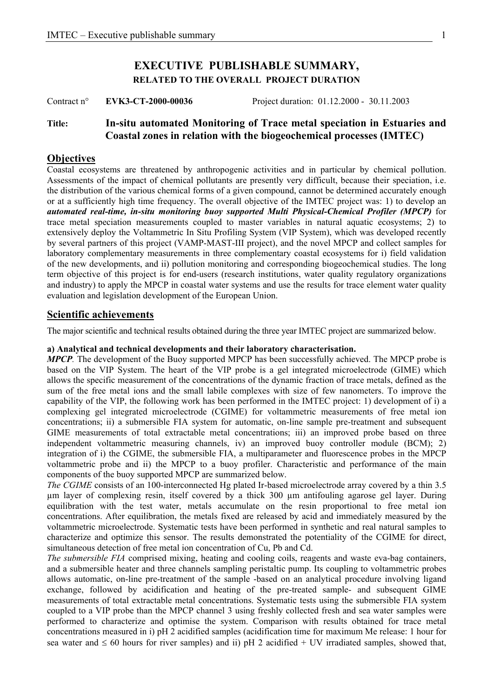# **EXECUTIVE PUBLISHABLE SUMMARY, RELATED TO THE OVERALL PROJECT DURATION**

Contract n° **EVK3-CT-2000-00036** Project duration: 01.12.2000 - 30.11.2003

## **Title: In-situ automated Monitoring of Trace metal speciation in Estuaries and Coastal zones in relation with the biogeochemical processes (IMTEC)**

## **Objectives**

Coastal ecosystems are threatened by anthropogenic activities and in particular by chemical pollution. Assessments of the impact of chemical pollutants are presently very difficult, because their speciation, i.e. the distribution of the various chemical forms of a given compound, cannot be determined accurately enough or at a sufficiently high time frequency. The overall objective of the IMTEC project was: 1) to develop an *automated real-time, in-situ monitoring buoy supported Multi Physical-Chemical Profiler (MPCP)* for trace metal speciation measurements coupled to master variables in natural aquatic ecosystems; 2) to extensively deploy the Voltammetric In Situ Profiling System (VIP System), which was developed recently by several partners of this project (VAMP-MAST-III project), and the novel MPCP and collect samples for laboratory complementary measurements in three complementary coastal ecosystems for i) field validation of the new developments, and ii) pollution monitoring and corresponding biogeochemical studies. The long term objective of this project is for end-users (research institutions, water quality regulatory organizations and industry) to apply the MPCP in coastal water systems and use the results for trace element water quality evaluation and legislation development of the European Union.

## **Scientific achievements**

The major scientific and technical results obtained during the three year IMTEC project are summarized below.

### **a) Analytical and technical developments and their laboratory characterisation.**

*MPCP.* The development of the Buoy supported MPCP has been successfully achieved. The MPCP probe is based on the VIP System. The heart of the VIP probe is a gel integrated microelectrode (GIME) which allows the specific measurement of the concentrations of the dynamic fraction of trace metals, defined as the sum of the free metal ions and the small labile complexes with size of few nanometers. To improve the capability of the VIP, the following work has been performed in the IMTEC project: 1) development of i) a complexing gel integrated microelectrode (CGIME) for voltammetric measurements of free metal ion concentrations; ii) a submersible FIA system for automatic, on-line sample pre-treatment and subsequent GIME measurements of total extractable metal concentrations; iii) an improved probe based on three independent voltammetric measuring channels, iv) an improved buoy controller module (BCM); 2) integration of i) the CGIME, the submersible FIA, a multiparameter and fluorescence probes in the MPCP voltammetric probe and ii) the MPCP to a buoy profiler. Characteristic and performance of the main components of the buoy supported MPCP are summarized below.

*The CGIME* consists of an 100-interconnected Hg plated Ir-based microelectrode array covered by a thin 3.5 µm layer of complexing resin, itself covered by a thick 300 µm antifouling agarose gel layer. During equilibration with the test water, metals accumulate on the resin proportional to free metal ion concentrations. After equilibration, the metals fixed are released by acid and immediately measured by the voltammetric microelectrode. Systematic tests have been performed in synthetic and real natural samples to characterize and optimize this sensor. The results demonstrated the potentiality of the CGIME for direct, simultaneous detection of free metal ion concentration of Cu, Pb and Cd.

*The submersible FIA* comprised mixing, heating and cooling coils, reagents and waste eva-bag containers, and a submersible heater and three channels sampling peristaltic pump. Its coupling to voltammetric probes allows automatic, on-line pre-treatment of the sample -based on an analytical procedure involving ligand exchange, followed by acidification and heating of the pre-treated sample- and subsequent GIME measurements of total extractable metal concentrations. Systematic tests using the submersible FIA system coupled to a VIP probe than the MPCP channel 3 using freshly collected fresh and sea water samples were performed to characterize and optimise the system. Comparison with results obtained for trace metal concentrations measured in i) pH 2 acidified samples (acidification time for maximum Me release: 1 hour for sea water and  $\leq 60$  hours for river samples) and ii) pH 2 acidified + UV irradiated samples, showed that,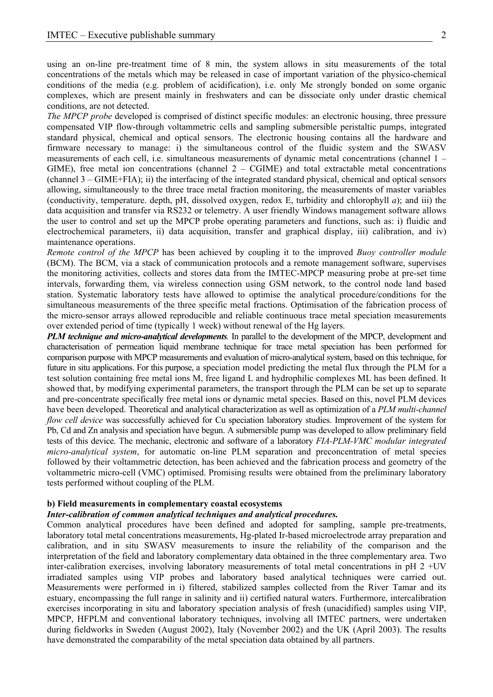using an on-line pre-treatment time of 8 min, the system allows in situ measurements of the total concentrations of the metals which may be released in case of important variation of the physico-chemical conditions of the media (e.g. problem of acidification), i.e. only Me strongly bonded on some organic complexes, which are present mainly in freshwaters and can be dissociate only under drastic chemical conditions, are not detected.

*The MPCP probe* developed is comprised of distinct specific modules: an electronic housing, three pressure compensated VIP flow-through voltammetric cells and sampling submersible peristaltic pumps, integrated standard physical, chemical and optical sensors. The electronic housing contains all the hardware and firmware necessary to manage: i) the simultaneous control of the fluidic system and the SWASV measurements of each cell, i.e. simultaneous measurements of dynamic metal concentrations (channel 1 – GIME), free metal ion concentrations (channel  $2 - CGIME$ ) and total extractable metal concentrations (channel 3 – GIME+FIA); ii) the interfacing of the integrated standard physical, chemical and optical sensors allowing, simultaneously to the three trace metal fraction monitoring, the measurements of master variables (conductivity, temperature. depth, pH, dissolved oxygen, redox E, turbidity and chlorophyll *a*); and iii) the data acquisition and transfer via RS232 or telemetry. A user friendly Windows management software allows the user to control and set up the MPCP probe operating parameters and functions, such as: i) fluidic and electrochemical parameters, ii) data acquisition, transfer and graphical display, iii) calibration, and iv) maintenance operations.

*Remote control of the MPCP* has been achieved by coupling it to the improved *Buoy controller module* (BCM). The BCM, via a stack of communication protocols and a remote management software, supervises the monitoring activities, collects and stores data from the IMTEC-MPCP measuring probe at pre-set time intervals, forwarding them, via wireless connection using GSM network, to the control node land based station. Systematic laboratory tests have allowed to optimise the analytical procedure/conditions for the simultaneous measurements of the three specific metal fractions. Optimisation of the fabrication process of the micro-sensor arrays allowed reproducible and reliable continuous trace metal speciation measurements over extended period of time (typically 1 week) without renewal of the Hg layers.

*PLM technique and micro-analytical developments.* In parallel to the development of the MPCP, development and characterisation of permeation liquid membrane technique for trace metal speciation has been performed for comparison purpose with MPCP measurements and evaluation of micro-analytical system, based on this technique, for future in situ applications. For this purpose, a speciation model predicting the metal flux through the PLM for a test solution containing free metal ions M, free ligand L and hydrophilic complexes ML has been defined. It showed that, by modifying experimental parameters, the transport through the PLM can be set up to separate and pre-concentrate specifically free metal ions or dynamic metal species. Based on this, novel PLM devices have been developed. Theoretical and analytical characterization as well as optimization of a *PLM multi-channel flow cell device* was successfully achieved for Cu speciation laboratory studies. Improvement of the system for Pb, Cd and Zn analysis and speciation have begun. A submersible pump was developed to allow preliminary field tests of this device. The mechanic, electronic and software of a laboratory *FIA-PLM-VMC modular integrated micro-analytical system*, for automatic on-line PLM separation and preconcentration of metal species followed by their voltammetric detection, has been achieved and the fabrication process and geometry of the voltammetric micro-cell (VMC) optimised. Promising results were obtained from the preliminary laboratory tests performed without coupling of the PLM.

#### **b) Field measurements in complementary coastal ecosystems**

#### *Inter-calibration of common analytical techniques and analytical procedures.*

Common analytical procedures have been defined and adopted for sampling, sample pre-treatments, laboratory total metal concentrations measurements, Hg-plated Ir-based microelectrode array preparation and calibration, and in situ SWASV measurements to insure the reliability of the comparison and the interpretation of the field and laboratory complementary data obtained in the three complementary area. Two inter-calibration exercises, involving laboratory measurements of total metal concentrations in pH 2 +UV irradiated samples using VIP probes and laboratory based analytical techniques were carried out. Measurements were performed in i) filtered, stabilized samples collected from the River Tamar and its estuary, encompassing the full range in salinity and ii) certified natural waters. Furthermore, intercalibration exercises incorporating in situ and laboratory speciation analysis of fresh (unacidified) samples using VIP, MPCP, HFPLM and conventional laboratory techniques, involving all IMTEC partners, were undertaken during fieldworks in Sweden (August 2002), Italy (November 2002) and the UK (April 2003). The results have demonstrated the comparability of the metal speciation data obtained by all partners.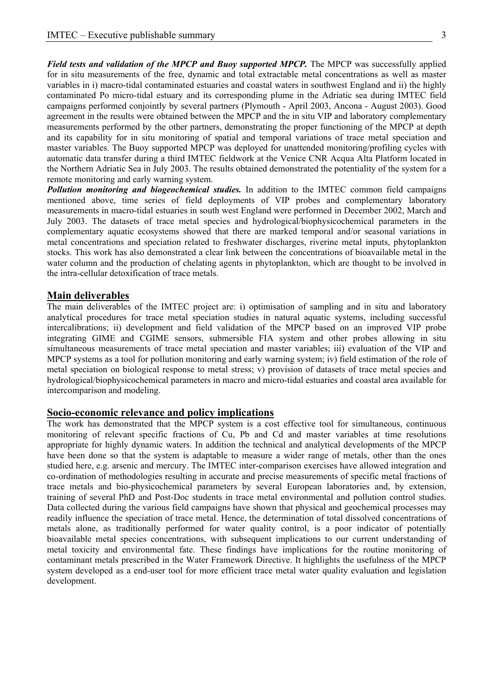*Field tests and validation of the MPCP and Buoy supported MPCP*. The MPCP was successfully applied for in situ measurements of the free, dynamic and total extractable metal concentrations as well as master variables in i) macro-tidal contaminated estuaries and coastal waters in southwest England and ii) the highly contaminated Po micro-tidal estuary and its corresponding plume in the Adriatic sea during IMTEC field campaigns performed conjointly by several partners (Plymouth - April 2003, Ancona - August 2003). Good agreement in the results were obtained between the MPCP and the in situ VIP and laboratory complementary measurements performed by the other partners, demonstrating the proper functioning of the MPCP at depth and its capability for in situ monitoring of spatial and temporal variations of trace metal speciation and master variables. The Buoy supported MPCP was deployed for unattended monitoring/profiling cycles with automatic data transfer during a third IMTEC fieldwork at the Venice CNR Acqua Alta Platform located in the Northern Adriatic Sea in July 2003. The results obtained demonstrated the potentiality of the system for a remote monitoring and early warning system.

*Pollution monitoring and biogeochemical studies.* In addition to the IMTEC common field campaigns mentioned above, time series of field deployments of VIP probes and complementary laboratory measurements in macro-tidal estuaries in south west England were performed in December 2002, March and July 2003. The datasets of trace metal species and hydrological/biophysicochemical parameters in the complementary aquatic ecosystems showed that there are marked temporal and/or seasonal variations in metal concentrations and speciation related to freshwater discharges, riverine metal inputs, phytoplankton stocks. This work has also demonstrated a clear link between the concentrations of bioavailable metal in the water column and the production of chelating agents in phytoplankton, which are thought to be involved in the intra-cellular detoxification of trace metals.

### **Main deliverables**

The main deliverables of the IMTEC project are: i) optimisation of sampling and in situ and laboratory analytical procedures for trace metal speciation studies in natural aquatic systems, including successful intercalibrations; ii) development and field validation of the MPCP based on an improved VIP probe integrating GIME and CGIME sensors, submersible FIA system and other probes allowing in situ simultaneous measurements of trace metal speciation and master variables; iii) evaluation of the VIP and MPCP systems as a tool for pollution monitoring and early warning system; iv) field estimation of the role of metal speciation on biological response to metal stress; v) provision of datasets of trace metal species and hydrological/biophysicochemical parameters in macro and micro-tidal estuaries and coastal area available for intercomparison and modeling.

### **Socio-economic relevance and policy implications**

The work has demonstrated that the MPCP system is a cost effective tool for simultaneous, continuous monitoring of relevant specific fractions of Cu, Pb and Cd and master variables at time resolutions appropriate for highly dynamic waters. In addition the technical and analytical developments of the MPCP have been done so that the system is adaptable to measure a wider range of metals, other than the ones studied here, e.g. arsenic and mercury. The IMTEC inter-comparison exercises have allowed integration and co-ordination of methodologies resulting in accurate and precise measurements of specific metal fractions of trace metals and bio-physicochemical parameters by several European laboratories and, by extension, training of several PhD and Post-Doc students in trace metal environmental and pollution control studies. Data collected during the various field campaigns have shown that physical and geochemical processes may readily influence the speciation of trace metal. Hence, the determination of total dissolved concentrations of metals alone, as traditionally performed for water quality control, is a poor indicator of potentially bioavailable metal species concentrations, with subsequent implications to our current understanding of metal toxicity and environmental fate. These findings have implications for the routine monitoring of contaminant metals prescribed in the Water Framework Directive. It highlights the usefulness of the MPCP system developed as a end-user tool for more efficient trace metal water quality evaluation and legislation development.